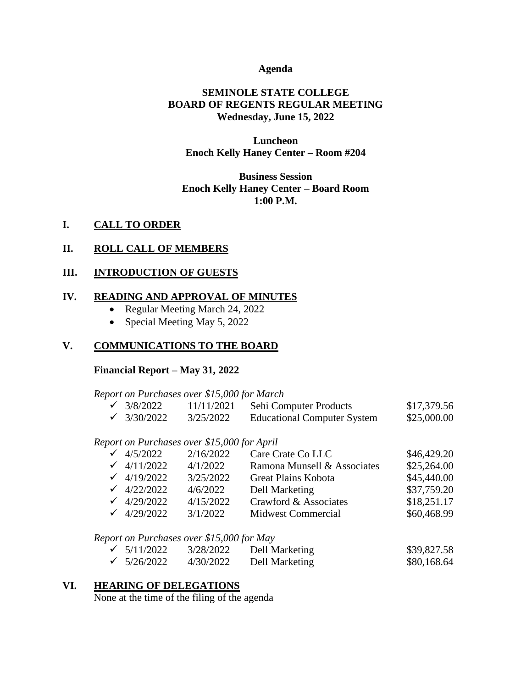### **Agenda**

## **SEMINOLE STATE COLLEGE BOARD OF REGENTS REGULAR MEETING Wednesday, June 15, 2022**

### **Luncheon Enoch Kelly Haney Center – Room #204**

# **Business Session Enoch Kelly Haney Center – Board Room 1:00 P.M.**

## **I. CALL TO ORDER**

### **II. ROLL CALL OF MEMBERS**

### **III. INTRODUCTION OF GUESTS**

### **IV. READING AND APPROVAL OF MINUTES**

- Regular Meeting March 24, 2022
- Special Meeting May 5, 2022

## **V. COMMUNICATIONS TO THE BOARD**

#### **Financial Report – May 31, 2022**

*Report on Purchases over \$15,000 for March*

| $\sqrt{3/8/2022}$  | 11/11/2021 | Sehi Computer Products             | \$17,379.56 |
|--------------------|------------|------------------------------------|-------------|
| $\sqrt{}3/30/2022$ | 3/25/2022  | <b>Educational Computer System</b> | \$25,000.00 |

*Report on Purchases over \$15,000 for April*

| \$46,429.20 |
|-------------|
| \$25,264.00 |
| \$45,440.00 |
| \$37,759.20 |
| \$18,251.17 |
| \$60,468.99 |
|             |

#### *Report on Purchases over \$15,000 for May*

| $\checkmark$ 5/11/2022 | 3/28/2022 | Dell Marketing | \$39,827.58 |
|------------------------|-----------|----------------|-------------|
| $\checkmark$ 5/26/2022 | 4/30/2022 | Dell Marketing | \$80,168.64 |

### **VI. HEARING OF DELEGATIONS**

None at the time of the filing of the agenda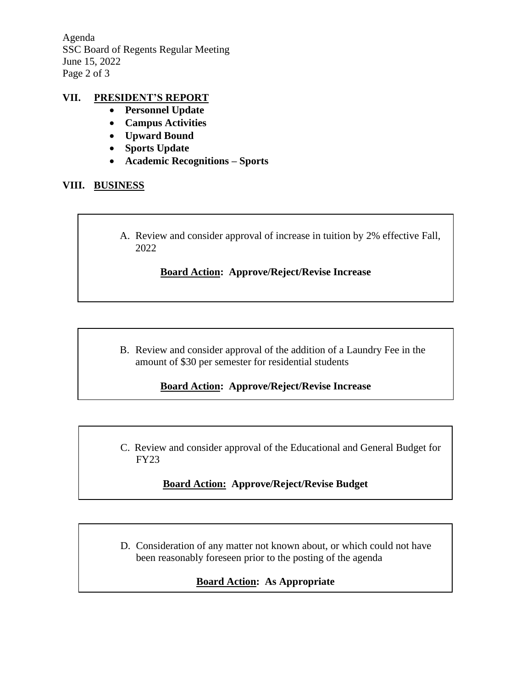Agenda SSC Board of Regents Regular Meeting June 15, 2022 Page 2 of 3

## **VII. PRESIDENT'S REPORT**

- **Personnel Update**
- **Campus Activities**
- **Upward Bound**
- **Sports Update**
- **Academic Recognitions – Sports**

## **VIII. BUSINESS**

A. Review and consider approval of increase in tuition by 2% effective Fall, 2022

# **Board Action: Approve/Reject/Revise Increase**

B. Review and consider approval of the addition of a Laundry Fee in the amount of \$30 per semester for residential students

# **Board Action: Approve/Reject/Revise Increase**

C. Review and consider approval of the Educational and General Budget for FY23

# **Board Action: Approve/Reject/Revise Budget**

D. Consideration of any matter not known about, or which could not have been reasonably foreseen prior to the posting of the agenda

# **Board Action: As Appropriate**